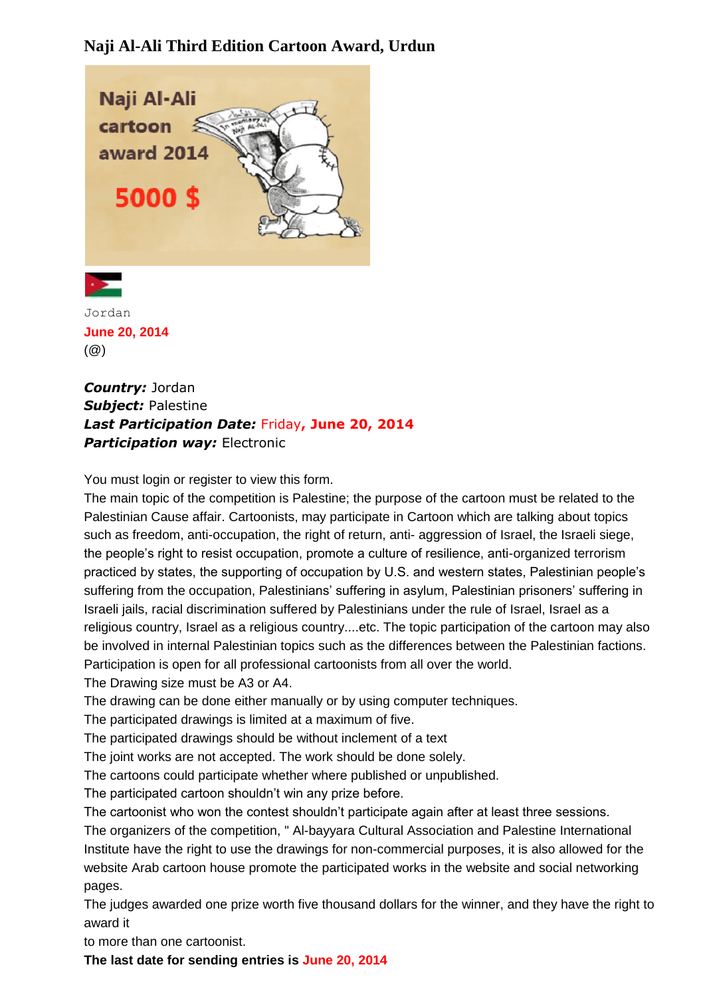## **Naji Al-Ali Third Edition Cartoon Award, Urdun**





Jordan **June 20, 2014** (@)

*Country:* Jordan *Subject:* Palestine *Last Participation Date:* Friday**, June 20, 2014** *Participation way: Electronic* 

You must login or register to view this form.

The main topic of the competition is Palestine; the purpose of the cartoon must be related to the Palestinian Cause affair. Cartoonists, may participate in Cartoon which are talking about topics such as freedom, anti-occupation, the right of return, anti- aggression of Israel, the Israeli siege, the people's right to resist occupation, promote a culture of resilience, anti-organized terrorism practiced by states, the supporting of occupation by U.S. and western states, Palestinian people's suffering from the occupation, Palestinians' suffering in asylum, Palestinian prisoners' suffering in Israeli jails, racial discrimination suffered by Palestinians under the rule of Israel, Israel as a religious country, Israel as a religious country....etc. The topic participation of the cartoon may also be involved in internal Palestinian topics such as the differences between the Palestinian factions. Participation is open for all professional cartoonists from all over the world.

The Drawing size must be A3 or A4.

The drawing can be done either manually or by using computer techniques.

The participated drawings is limited at a maximum of five.

The participated drawings should be without inclement of a text

The joint works are not accepted. The work should be done solely.

The cartoons could participate whether where published or unpublished.

The participated cartoon shouldn't win any prize before.

The cartoonist who won the contest shouldn't participate again after at least three sessions.

The organizers of the competition, " Al-bayyara Cultural Association and Palestine International Institute have the right to use the drawings for non-commercial purposes, it is also allowed for the website Arab cartoon house promote the participated works in the website and social networking pages.

The judges awarded one prize worth five thousand dollars for the winner, and they have the right to award it

to more than one cartoonist.

**The last date for sending entries is June 20, 2014**